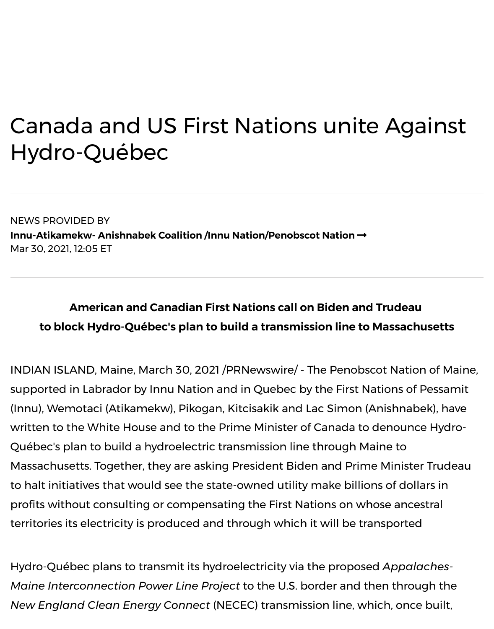## Canada and US First Nations unite Aga Hydro-Québec

NEWS PROVIDED BY **Innu-Atikamekw- Anishnabek Coalition /Innu Nation/Penobscot Nation →** Mar 30, 2021, 12:05 ET

## **American and Canadian First Nations call on Biden and Trudeau**  [to block Hydro-Québec's plan to build a transmission line to](https://www.prnewswire.com/news/innu__atikamekw__-anishnabek-coalition-%2Finnu-nation%2Fpenobscot-nation/) Massach

INDIAN ISLAND, Maine, March 30, 2021 /PRNewswire/ - The Penobscot Natio supported in Labrador by Innu Nation and in Quebec by the First Nations of (Innu), Wemotaci (Atikamekw), Pikogan, Kitcisakik and Lac Simon (Anishnab written to the White House and to the Prime Minister of Canada to denounc Québec's plan to build a hydroelectric transmission line through Maine to Massachusetts. Together, they are asking President Biden and Prime Ministe to halt initiatives that would see the state-owned utility make billions of doll profits without consulting or compensating the First Nations on whose ance territories its electricity is produced and through which it will be transported

Hydro-Québec plans to transmit its hydroelectricity via the proposed *Appald Maine Interconnection Power Line Project* to the U.S. border and then through the *New England Clean Energy Connect* (NECEC) transmission line, which, once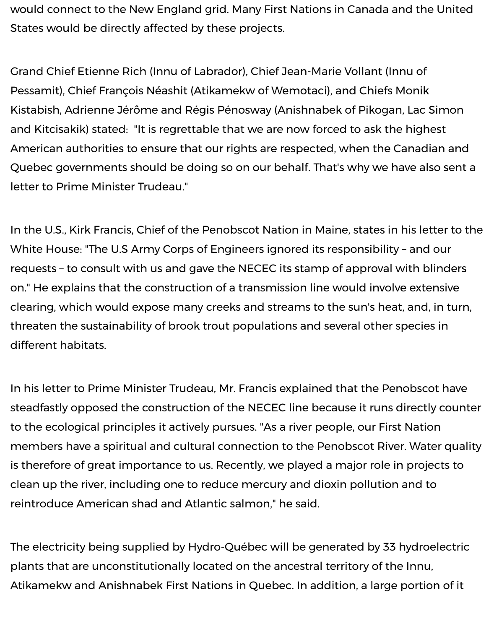would connect to the New England grid. Many First Nations in Canada and the United States would be directly affected by these projects.

Grand Chief Etienne Rich (Innu of Labrador), Chief Jean-Marie Vollant (Innu of Pessamit), Chief François Néashit (Atikamekw of Wemotaci), and Chiefs Monik Kistabish, Adrienne Jérôme and Régis Pénosway (Anishnabek of Pikogan, Lac Simon and Kitcisakik) stated: "It is regrettable that we are now forced to ask the highest American authorities to ensure that our rights are respected, when the Canadian and Quebec governments should be doing so on our behalf. That's why we have also sent a letter to Prime Minister Trudeau."

In the U.S., Kirk Francis, Chief of the Penobscot Nation in Maine, states in his letter to the White House: "The U.S Army Corps of Engineers ignored its responsibility – and our requests – to consult with us and gave the NECEC its stamp of approval with blinders on." He explains that the construction of a transmission line would involve extensive clearing, which would expose many creeks and streams to the sun's heat, and, in turn, threaten the sustainability of brook trout populations and several other species in different habitats.

In his letter to Prime Minister Trudeau, Mr. Francis explained that the Penobscot have steadfastly opposed the construction of the NECEC line because it runs directly counter to the ecological principles it actively pursues. "As a river people, our First Nation members have a spiritual and cultural connection to the Penobscot River. Water quality is therefore of great importance to us. Recently, we played a major role in projects to clean up the river, including one to reduce mercury and dioxin pollution and to reintroduce American shad and Atlantic salmon," he said.

The electricity being supplied by Hydro-Québec will be generated by 33 hydroelectric plants that are unconstitutionally located on the ancestral territory of the Innu, Atikamekw and Anishnabek First Nations in Quebec. In addition, a large portion of it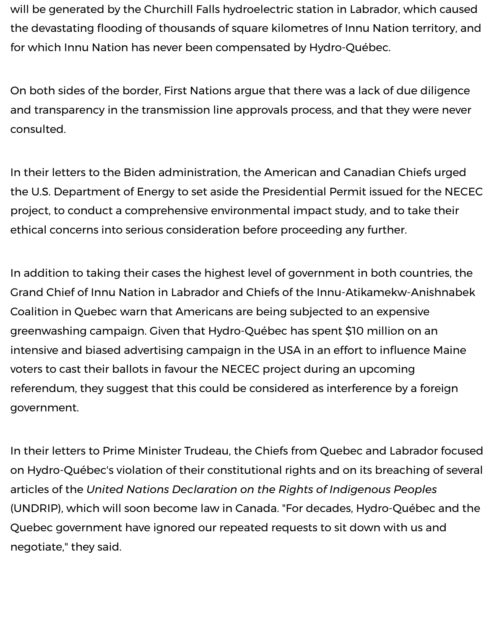will be generated by the Churchill Falls hydroelectric station in Labrador, which caused the devastating flooding of thousands of square kilometres of Innu Nation territory, and for which Innu Nation has never been compensated by Hydro-Québec.

On both sides of the border, First Nations argue that there was a lack of due diligence and transparency in the transmission line approvals process, and that they were never consulted.

In their letters to the Biden administration, the American and Canadian Chiefs urged the U.S. Department of Energy to set aside the Presidential Permit issued for the NECEC project, to conduct a comprehensive environmental impact study, and to take their ethical concerns into serious consideration before proceeding any further.

In addition to taking their cases the highest level of government in both countries, the Grand Chief of Innu Nation in Labrador and Chiefs of the Innu-Atikamekw-Anishnabek Coalition in Quebec warn that Americans are being subjected to an expensive greenwashing campaign. Given that Hydro-Québec has spent \$10 million on an intensive and biased advertising campaign in the USA in an effort to influence Maine voters to cast their ballots in favour the NECEC project during an upcoming referendum, they suggest that this could be considered as interference by a foreign government.

In their letters to Prime Minister Trudeau, the Chiefs from Quebec and Labrador focused on Hydro-Québec's violation of their constitutional rights and on its breaching of several articles of the *United Nations Declaration on the Rights of Indigenous Peoples* (UNDRIP), which will soon become law in Canada. "For decades, Hydro-Québec and the Quebec government have ignored our repeated requests to sit down with us and negotiate," they said.